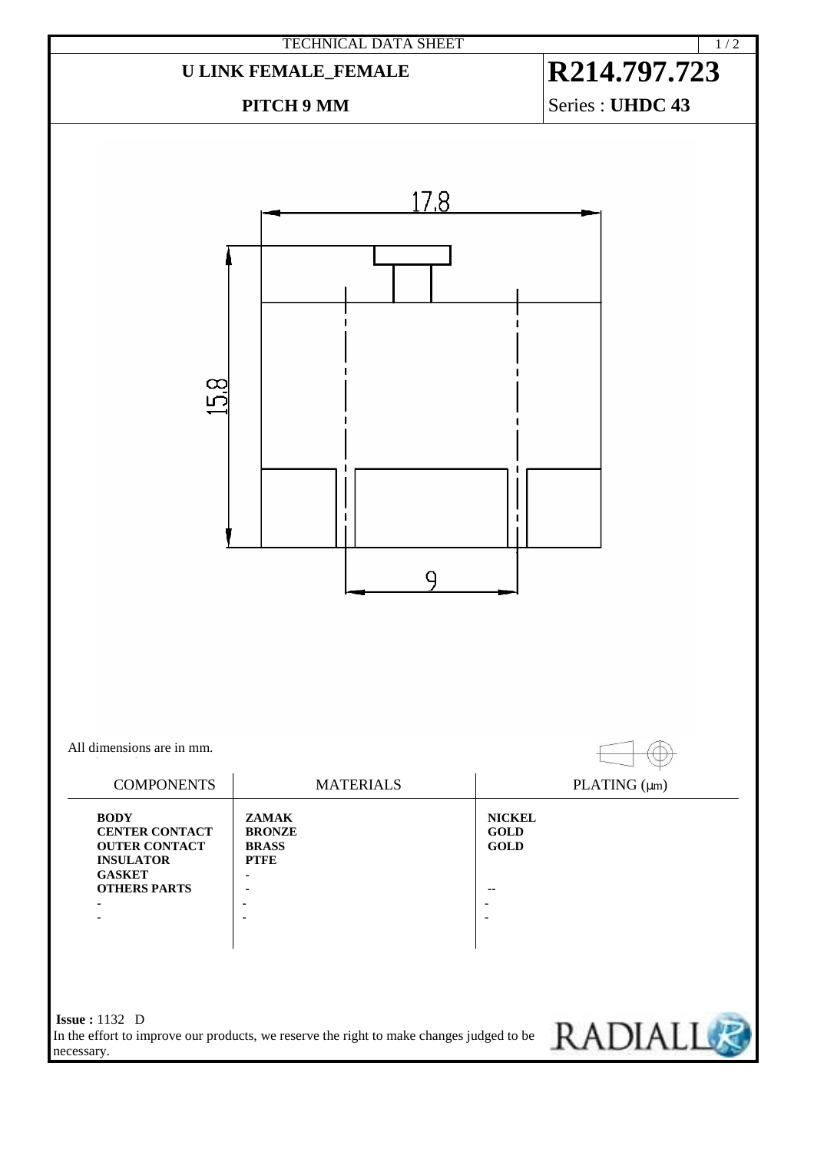